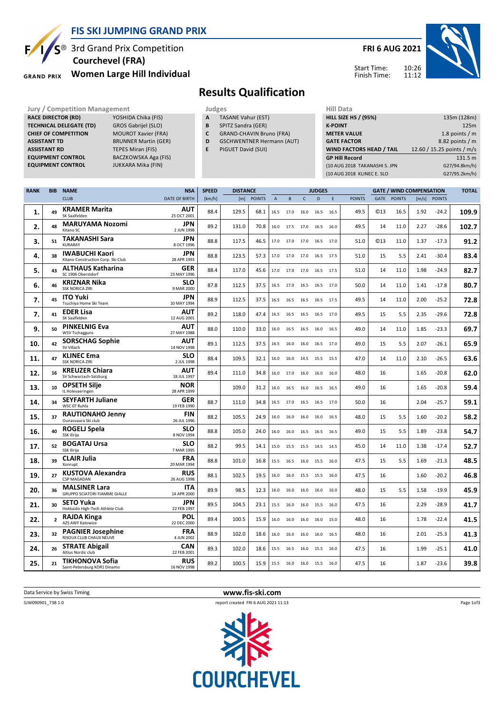

#### **FIS SKI JUMPING GRAND PRIX**

**EACZKOWSKA Aga (FIS)** 

 $S^{\circledast}$  3rd Grand Prix Competition  **Courchevel (FRA)**

**GRAND PRIX** 

**RACE DIRECTOR (RD)** 

**CHIEF OF COMPETITION** 

# **Women Large Hill Individual**

**TECHNICAL DELEGATE (TD)** GROS Gabrijel (SLO)<br> **CHIEF OF COMPETITION** MOUROT Xavier (FRA)

**ASSISTANT TD** BRUNNER Martin (GER) **ASSISTANT RD** TEPES Miran (FIS)<br>**EQUIPMENT CONTROL** BACZKOWSKA Aga

**EQUIPMENT CONTROL FIND JUKKARA Mika (FIN)** 

### **FRI 6 AUG 2021**





# **Results Qualification**

- **Jury / Competition Management Judges Hill Data**<br> **RACE DIRECTOR (RD)** YOSHIDA Chika (FIS) **A** TASANE Vahur (EST) **HILL SIZE H A** TASANE Vahur (EST)
	- **B** SPITZ Sandra (GER)
	- **C** GRAND-CHAVIN Bruno (FRA)
	- **D** GSCHWENTNER Hermann (AUT)
	- **E** PIGUET David (SUI)

| <b>HILL SIZE HS / (95%)</b>     | 135m (128m)                |
|---------------------------------|----------------------------|
| <b>K-POINT</b>                  | 125m                       |
| <b>METER VALUE</b>              | 1.8 points $/m$            |
| <b>GATE FACTOR</b>              | 8.82 points / m            |
|                                 |                            |
| <b>WIND FACTORS HEAD / TAIL</b> | 12.60 / 15.25 points / m/s |
| <b>GP Hill Record</b>           | 131.5 m                    |
| (10 AUG 2018 TAKANASHI S. JPN   | G27/94.8km/h)              |

| <b>RANK</b> | <b>BIB</b>     | <b>NAME</b>                                                  | <b>NSA</b>                | <b>SPEED</b> | <b>DISTANCE</b> |               |              |           |           | <b>JUDGES</b>  |      |               |                 | <b>GATE / WIND COMPENSATION</b> |       |               | <b>TOTAL</b> |
|-------------|----------------|--------------------------------------------------------------|---------------------------|--------------|-----------------|---------------|--------------|-----------|-----------|----------------|------|---------------|-----------------|---------------------------------|-------|---------------|--------------|
|             |                | <b>CLUB</b>                                                  | <b>DATE OF BIRTH</b>      | [km/h]       | [m]             | <b>POINTS</b> | $\mathsf{A}$ | В         | C         | D              | E    | <b>POINTS</b> | GATE            | <b>POINTS</b>                   | [m/s] | <b>POINTS</b> |              |
| 1.          | 49             | KRAMER Marita<br>SK Saalfelden                               | <b>AUT</b><br>25 OCT 2001 | 88.4         | 129.5           | 68.1          | 16.5         | 17.0      | 16.0      | 16.5           | 16.5 | 49.5          | C <sub>13</sub> | 16.5                            | 1.92  | $-24.2$       | 109.9        |
| 2.          | 48             | <b>MARUYAMA Nozomi</b><br>Kitano SC                          | <b>JPN</b><br>2 JUN 1998  | 89.2         | 131.0           | 70.8          | 16.0         | 17.5      | 17.0 16.5 |                | 16.0 | 49.5          | 14              | 11.0                            | 2.27  | $-28.6$       | 102.7        |
| 3.          | 51             | <b>TAKANASHI Sara</b><br><b>KURARAY</b>                      | <b>JPN</b><br>8 OCT 1996  | 88.8         | 117.5           | 46.5          | 17.0         | 17.0      | 17.0      | 16.5           | 17.0 | 51.0          | C <sub>13</sub> | 11.0                            | 1.37  | $-17.3$       | 91.2         |
| 4.          | 38             | <b>IWABUCHI Kaori</b><br>Kitano Construction Corp. Ski Club  | JPN<br>28 APR 1993        | 88.8         | 123.5           | 57.3          | 17.0         | 17.0      | 17.0 16.5 |                | 17.5 | 51.0          | 15              | 5.5                             | 2.41  | $-30.4$       | 83.4         |
| 5.          | 43             | <b>ALTHAUS Katharina</b><br>SC 1906 Oberstdorf               | GER<br>23 MAY 1996        | 88.4         | 117.0           | 45.6          | 17.0         | 17.0      | 17.0      | 16.5           | 17.5 | 51.0          | 14              | 11.0                            | 1.98  | $-24.9$       | 82.7         |
| 6.          | 46             | <b>KRIZNAR Nika</b><br><b>SSK NORICA ZIRI</b>                | <b>SLO</b><br>9 MAR 2000  | 87.8         | 112.5           | 37.5          | 16.5         | 17.0      | 16.5      | 16.5           | 17.0 | 50.0          | 14              | 11.0                            | 1.41  | $-17.8$       | 80.7         |
| 7.          | 45             | <b>ITO Yuki</b><br>Tsuchiya Home Ski Team                    | JPN<br>10 MAY 1994        | 88.9         | 112.5           | 37.5          | 16.5         | 16.5      | 16.5      | 16.5           | 17.5 | 49.5          | 14              | 11.0                            | 2.00  | $-25.2$       | 72.8         |
| 7.          | 41             | <b>EDER Lisa</b><br>SK Saalfelden                            | <b>AUT</b><br>12 AUG 2001 | 89.2         | 118.0           | 47.4          | 16.5         | 16.5      | 16.5      | 16.5           | 17.0 | 49.5          | 15              | 5.5                             | 2.35  | $-29.6$       | 72.8         |
| 9.          | 50             | <b>PINKELNIG Eva</b><br><b>WSV Tschagguns</b>                | AUT<br>27 MAY 1988        | 88.0         | 110.0           | 33.0          | 16.0         | 16.5      |           | 16.5 16.0      | 16.5 | 49.0          | 14              | 11.0                            | 1.85  | $-23.3$       | 69.7         |
| 10.         | 42             | <b>SORSCHAG Sophie</b><br>SV Villach                         | AUT<br>14 NOV 1998        | 89.1         | 112.5           | 37.5          | 16.5         | 16.0      | 16.0      | 16.5           | 17.0 | 49.0          | 15              | 5.5                             | 2.07  | $-26.1$       | 65.9         |
| 11.         | 47             | <b>KLINEC Ema</b><br><b>SSK NORICA ZIRI</b>                  | <b>SLO</b><br>2 JUL 1998  | 88.4         | 109.5           | 32.1          | 16.0         | 16.0      |           | 14.5 15.5      | 15.5 | 47.0          | 14              | 11.0                            | 2.10  | $-26.5$       | 63.6         |
| 12.         | 16             | <b>KREUZER Chiara</b><br>SV Schwarzach-Salzburg              | <b>AUT</b><br>18 JUL 1997 | 89.4         | 111.0           | 34.8          | 16.0         | 17.0      | 16.0      | 16.0           | 16.0 | 48.0          | 16              |                                 | 1.65  | $-20.8$       | 62.0         |
| 13.         | 10             | <b>OPSETH Silje</b><br>IL Holevaeringen                      | <b>NOR</b><br>28 APR 1999 |              | 109.0           | 31.2          | 16.0         | 16.5      | 16.0 16.5 |                | 16.5 | 49.0          | 16              |                                 | 1.65  | $-20.8$       | 59.4         |
| 14.         | 34             | <b>SEYFARTH Juliane</b><br>WSC 07 Ruhla                      | GER<br>19 FEB 1990        | 88.7         | 111.0           | 34.8          | 16.5         | 17.0      | 16.5      | 16.5           | 17.0 | 50.0          | 16              |                                 | 2.04  | $-25.7$       | 59.1         |
| 15.         | 37             | <b>RAUTIONAHO Jenny</b><br>Ounasvaara Ski club               | <b>FIN</b><br>26 JUL 1996 | 88.2         | 105.5           | 24.9          | 16.0         | 16.0      | 16.0      | 16.0           | 16.5 | 48.0          | 15              | 5.5                             | 1.60  | $-20.2$       | 58.2         |
| 16.         | 40             | ROGELJ Spela<br>SSK Ilirija                                  | <b>SLO</b><br>8 NOV 1994  | 88.8         | 105.0           | 24.0          | 16.0         | 16.0      |           | 16.5 16.5      | 16.5 | 49.0          | 15              | 5.5                             | 1.89  | $-23.8$       | 54.7         |
| 17.         | 52             | <b>BOGATAJ Ursa</b><br>SSK Ilirija                           | <b>SLO</b><br>7 MAR 1995  | 88.2         | 99.5            | 14.1          | 15.0         | 15.5      |           | 15.5 14.5      | 14.5 | 45.0          | 14              | 11.0                            | 1.38  | $-17.4$       | 52.7         |
| 18.         | 39             | <b>CLAIR Julia</b><br>Xonrupt                                | <b>FRA</b><br>20 MAR 1994 | 88.8         | 101.0           | 16.8          | 15.5         | 16.5      |           | 16.0 15.5      | 16.0 | 47.5          | 15              | 5.5                             | 1.69  | $-21.3$       | 48.5         |
| 19.         | 27             | <b>KUSTOVA Alexandra</b><br><b>CSP MAGADAN</b>               | RUS<br>26 AUG 1998        | 88.1         | 102.5           | 19.5          | 16.0         | 16.0      | 15.5      | 15.5           | 16.0 | 47.5          | 16              |                                 | 1.60  | $-20.2$       | 46.8         |
| 20.         | 36             | <b>MALSINER Lara</b><br><b>GRUPPO SCIATORI FIAMME GIALLE</b> | ITA<br>14 APR 2000        | 89.9         | 98.5            | 12.3          | 16.0         | 16.0      | 16.0      | 16.0           | 16.0 | 48.0          | 15              | 5.5                             | 1.58  | $-19.9$       | 45.9         |
| 21.         | 30             | <b>SETO Yuka</b><br>Hokkaido High-Tech Athlete Club          | JPN<br>22 FEB 1997        | 89.5         | 104.5           | 23.1          | 15.5         | 16.0      | 16.0      | 15.5           | 16.0 | 47.5          | 16              |                                 | 2.29  | $-28.9$       | 41.7         |
| 22.         | $\overline{2}$ | RAJDA Kinga<br>AZS AWF Katowice                              | <b>POL</b><br>22 DEC 2000 | 89.4         | 100.5           | 15.9          | 16.0         | 16.0      | 16.0      | 16.0           | 15.0 | 48.0          | 16              |                                 | 1.78  | $-22.4$       | 41.5         |
| 23.         | 32             | <b>PAGNIER Josephine</b><br>RISOUX CLUB CHAUX NEUVE          | <b>FRA</b><br>4 JUN 2002  | 88.9         | 102.0           | 18.6          | 16.0         | 16.0      | 16.0      | 16.0           | 16.5 | 48.0          | 16              |                                 | 2.01  | $-25.3$       | 41.3         |
| 24.         | 26             | <b>STRATE Abigail</b><br>Altius Nordic club                  | <b>CAN</b><br>22 FEB 2001 | 89.3         | 102.0           | 18.6          | 15.5         | 16.5      | 16.0      | 15.5           | 16.0 | 47.5          | 16              |                                 | 1.99  | $-25.1$       | 41.0         |
| 25.         | 21             | <b>TIKHONOVA Sofia</b><br>Saint-Petersburg KOR1 Dinamo       | <b>RUS</b><br>16 NOV 1998 | 89.2         | 100.5           | 15.9          |              | 15.5 16.0 |           | 16.0 15.5 16.0 |      | 47.5          | 16              |                                 | 1.87  | $-23.6$       | 39.8         |

Data Service by Swiss Timing **www.fis-ski.com**



Page 1of3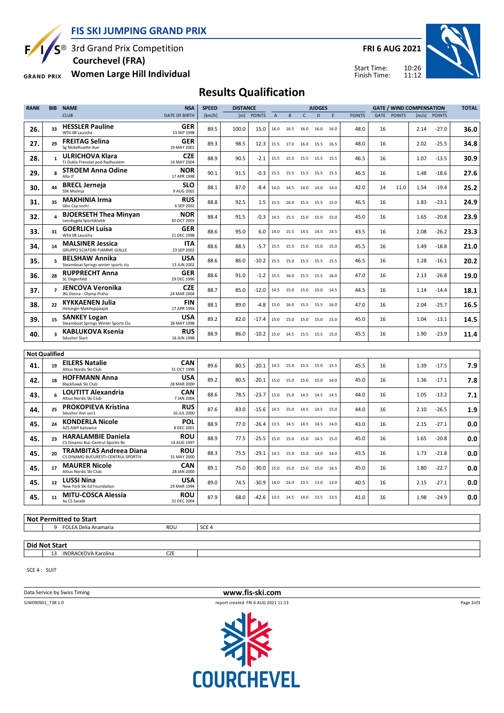**FIS SKI JUMPING GRAND PRIX**



 $S^{\circledast}$  3rd Grand Prix Competition  **Courchevel (FRA)**

**Women Large Hill Individual GRAND PRIX** 

**FRI 6 AUG 2021**





## **Results Qualification**

| <b>RANK</b>          | <b>BIB</b>     | <b>NAME</b>                                                    | <b>NSA</b>                | <b>SPEED</b> | <b>DISTANCE</b> |               |                |           |              | <b>JUDGES</b> |      |               |    |             | <b>GATE / WIND COMPENSATION</b> |              | <b>TOTAL</b> |
|----------------------|----------------|----------------------------------------------------------------|---------------------------|--------------|-----------------|---------------|----------------|-----------|--------------|---------------|------|---------------|----|-------------|---------------------------------|--------------|--------------|
|                      |                | <b>CLUB</b>                                                    | <b>DATE OF BIRTH</b>      | [km/h]       | [m]             | <b>POINTS</b> | $\overline{A}$ | B         | $\mathsf{C}$ | D             | E    | <b>POINTS</b> |    | GATE POINTS |                                 | [m/s] POINTS |              |
| 26.                  | 33             | <b>HESSLER Pauline</b><br>WSV 08 Lauscha                       | GER<br>13 SEP 1998        | 89.5         | 100.0           | 15.0          | 16.0           | 16.5      | 16.0         | 16.0          | 16.0 | 48.0          | 16 |             | 2.14                            | $-27.0$      | 36.0         |
| 27.                  | 29             | <b>FREITAG Selina</b><br>Sg Nickelhuette Aue                   | GER<br>19 MAY 2001        | 89.3         | 98.5            | 12.3          | 15.5           | 17.0      |              | 16.0 15.5     | 16.5 | 48.0          | 16 |             | 2.02                            | $-25.5$      | 34.8         |
| 28.                  | $\mathbf{1}$   | <b>ULRICHOVA Klara</b><br>TJ Dukla Frenstat pod Radhostem      | <b>CZE</b><br>14 MAY 2004 | 88.9         | 90.5            | -2.1          | 15.5           | 15.5      | 15.5         | 15.5          | 15.5 | 46.5          | 16 |             | 1.07                            | -13.5        | 30.9         |
| 29.                  | 8              | <b>STROEM Anna Odine</b><br>Alta If                            | <b>NOR</b><br>17 APR 1998 | 90.1         | 91.5            | $-0.3$        | 15.5           | 15.5      | 15.5 15.5    |               | 15.5 | 46.5          | 16 |             | 1.48                            | -18.6        | 27.6         |
| 30.                  | 44             | <b>BRECL Jerneja</b><br><b>SSK Mislinia</b>                    | <b>SLO</b><br>9 AUG 2001  | 88.1         | 87.0            | -8.4          | 14.0           | 14.5      | 14.0         | 14.0          | 14.0 | 42.0          | 14 | 11.0        | 1.54                            | $-19.4$      | 25.2         |
| 31.                  | 35             | <b>MAKHINIA Irma</b><br>Gbu Csp sochi                          | <b>RUS</b><br>6 SEP 2002  | 88.8         | 92.5            | 1.5           | 15.5           | 16.0      | 15.5         | 15.5          | 15.0 | 46.5          | 16 |             | 1.83                            | $-23.1$      | 24.9         |
| 32.                  |                | <b>BJOERSETH Thea Minyan</b><br>Lensbygda Sportsklubb          | NOR<br>30 OCT 2003        | 88.4         | 91.5            | -0.3          | 14.5           | 15.5      |              | 15.0 15.0     | 15.0 | 45.0          | 16 |             | 1.65                            | $-20.8$      | 23.9         |
| 33.                  | 31             | <b>GOERLICH Luisa</b><br>WSV 08 Lauscha                        | <b>GER</b><br>21 DEC 1998 | 88.6         | 95.0            | 6.0           | 14.0           | 15.5      | 14.5 14.5    |               | 14.5 | 43.5          | 16 |             | 2.08                            | $-26.2$      | 23.3         |
| 34.                  | 14             | <b>MALSINER Jessica</b><br>GRUPPO SCIATORI FIAMME GIALLE       | <b>ITA</b><br>23 SEP 2002 | 88.6         | 88.5            | $-5.7$        | 15.5           | 15.5      | 15.0         | 15.0          | 15.0 | 45.5          | 16 |             | 1.49                            | $-18.8$      | 21.0         |
| 35.                  |                | <b>BELSHAW Annika</b><br>Steamboat Springs winter sports clu   | <b>USA</b><br>13 JUN 2002 | 88.6         | 86.0            | $-10.2$       | 15.5           | 15.0      |              | 15.5 15.5     | 15.5 | 46.5          | 16 |             | 1.28                            | $-16.1$      | 20.2         |
| 36.                  | 28             | <b>RUPPRECHT Anna</b><br>SC Degenfeld                          | <b>GER</b><br>29 DEC 1996 | 88.6         | 91.0            | $-1.2$        | 15.5           | 16.0      | 15.5         | 15.5          | 16.0 | 47.0          | 16 |             | 2.13                            | $-26.8$      | 19.0         |
| 37.                  | $\overline{7}$ | JENCOVA Veronika<br>JKL Desna - Olymp Praha                    | <b>CZE</b><br>24 MAR 2004 | 88.7         | 85.0            | $-12.0$       | 14.5           | 15.0      | 15.0         | 15.0          | 14.5 | 44.5          | 16 |             | 1.14                            | -14.4        | 18.1         |
| 38.                  | 22             | <b>KYKKAENEN Julia</b><br>Helsingin Makihyppaajat              | <b>FIN</b><br>17 APR 1994 | 88.1         | 89.0            | $-4.8$        | 15.0           | 16.0      | 15.5         | 15.5          | 16.0 | 47.0          | 16 |             | 2.04                            | $-25.7$      | 16.5         |
| 39.                  | 15             | <b>SANKEY Logan</b><br>Steamboat Springs Winter Sports Clu     | <b>USA</b><br>28 MAY 1998 | 89.2         | 82.0            | $-17.4$       | 15.0           | 15.0      | 15.0         | 15.0          | 15.0 | 45.0          | 16 |             | 1.04                            | -13.1        | 14.5         |
| 40.                  | 3              | <b>KABLUKOVA Ksenia</b><br><b>Sdushor Start</b>                | <b>RUS</b><br>16 JUN 1998 | 88.9         | 86.0            | $-10.2$       |                | 15.0 14.5 |              | 15.5 15.5     | 15.0 | 45.5          | 16 |             | 1.90                            | $-23.9$      | 11.4         |
| <b>Not Qualified</b> |                |                                                                |                           |              |                 |               |                |           |              |               |      |               |    |             |                                 |              |              |
| 41.                  |                | <b>EILERS Natalie</b>                                          | <b>CAN</b>                |              |                 |               |                |           |              |               |      |               |    |             |                                 | $-17.5$      | 7.9          |
|                      | 19             | Altius Nordic Ski Club<br><b>HOFFMANN Anna</b>                 | 31 OCT 1998<br><b>USA</b> | 89.6         | 80.5            | $-20.1$       | 14.5           | 15.0      | 15.5 15.0    |               | 15.5 | 45.5          | 16 |             | 1.39                            |              |              |
| 42.                  | 18             | Blackhawk Ski Club<br><b>LOUTITT Alexandria</b>                | 28 MAR 2000<br><b>CAN</b> | 89.2         | 80.5            | $-20.1$       | 15.0           | 15.0      | 15.0         | 15.0          | 14.0 | 45.0          | 16 |             | 1.36                            | $-17.1$      | 7.8          |
| 43.                  | 6              | Altius Nordic Ski Club<br><b>PROKOPIEVA Kristina</b>           | 7 JAN 2004<br><b>RUS</b>  | 88.6         | 78.5            | $-23.7$       | 15.0           | 15.0      |              | 14.5 14.5     | 14.5 | 44.0          | 16 |             | 1.05                            | $-13.2$      | 7.1          |
| 44.                  | 25             | Sdushor Aist uor1<br><b>KONDERLA Nicole</b>                    | 16 JUL 2000<br>POL        | 87.6         | 83.0            | $-15.6$       | 14.5           | 15.0      | 14.5         | 14.5          | 15.0 | 44.0          | 16 |             | 2.10                            | -26.5        | 1.9          |
| 45.                  | 24             | AZS AWF Katowice                                               | 8 DEC 2001                | 88.9         | 77.0            | $-26.4$       | 13.5           | 14.5      | 14.5         | 14.5          | 14.0 | 43.0          | 16 |             | 2.15                            | -27.1        | 0.0          |
| 45.                  | 23             | <b>HARALAMBIE Daniela</b><br>CS Dinamo Buc-Centrul Sportiv Bv  | <b>ROU</b><br>14 AUG 1997 | 88.9         | 77.5            | $-25.5$       | 15.0           | 15.0      | 15.0         | 14.5          | 15.0 | 45.0          | 16 |             | 1.65                            | $-20.8$      | 0.0          |
| 45.                  | 20             | TRAMBITAS Andreea Diana<br>CS DINAMO BUCURESTI-CENTRUL SPORTIV | <b>ROU</b><br>31 MAY 2000 | 88.3         | 75.5            | $-29.1$       | 14.5           | 15.0      |              | 15.0 14.0     | 14.0 | 43.5          | 16 |             | 1.73                            | $-21.8$      | 0.0          |
| 45.                  | 17             | <b>MAURER Nicole</b><br>Altius Nordic Ski Club                 | CAN<br>28 JAN 2000        | 89.1         | 75.0            | $-30.0$       | 15.0           | 15.0      | 15.0         | 15.0          | 14.5 | 45.0          | 16 |             | 1.80                            | $-22.7$      | 0.0          |
| 45.                  | 12             | LUSSI Nina<br>New York Ski Ed Foundation                       | <b>USA</b><br>29 MAR 1994 | 89.0         | 74.5            | $-30.9$       | 14.0           | 14.0      |              | 13.5 13.0     | 13.0 | 40.5          | 16 |             | 2.15                            | $-27.1$      | 0.0          |
| 45.                  | 11             | <b>MITU-COSCA Alessia</b><br>As CS Sacele                      | <b>ROU</b><br>31 DEC 2004 | 87.9         | 68.0            | $-42.6$       | 13.5           | 14.5      | 14.0 13.5    |               | 13.5 | 41.0          | 16 |             | 1.98                            | $-24.9$      | 0.0          |
|                      |                | $\overline{h}$ Not Dormittad to Ctart                          |                           |              |                 |               |                |           |              |               |      |               |    |             |                                 |              |              |

**Not Permitted to Start** 9 FOLEA Delia Anamaria ROU SCE 4

**Did Not Start**

13 INDRACKOVA Karolina CZE

SCE 4 : SUIT

**Data Service by Swiss Timing WWW.fis-ski.com** 



Page 2of3